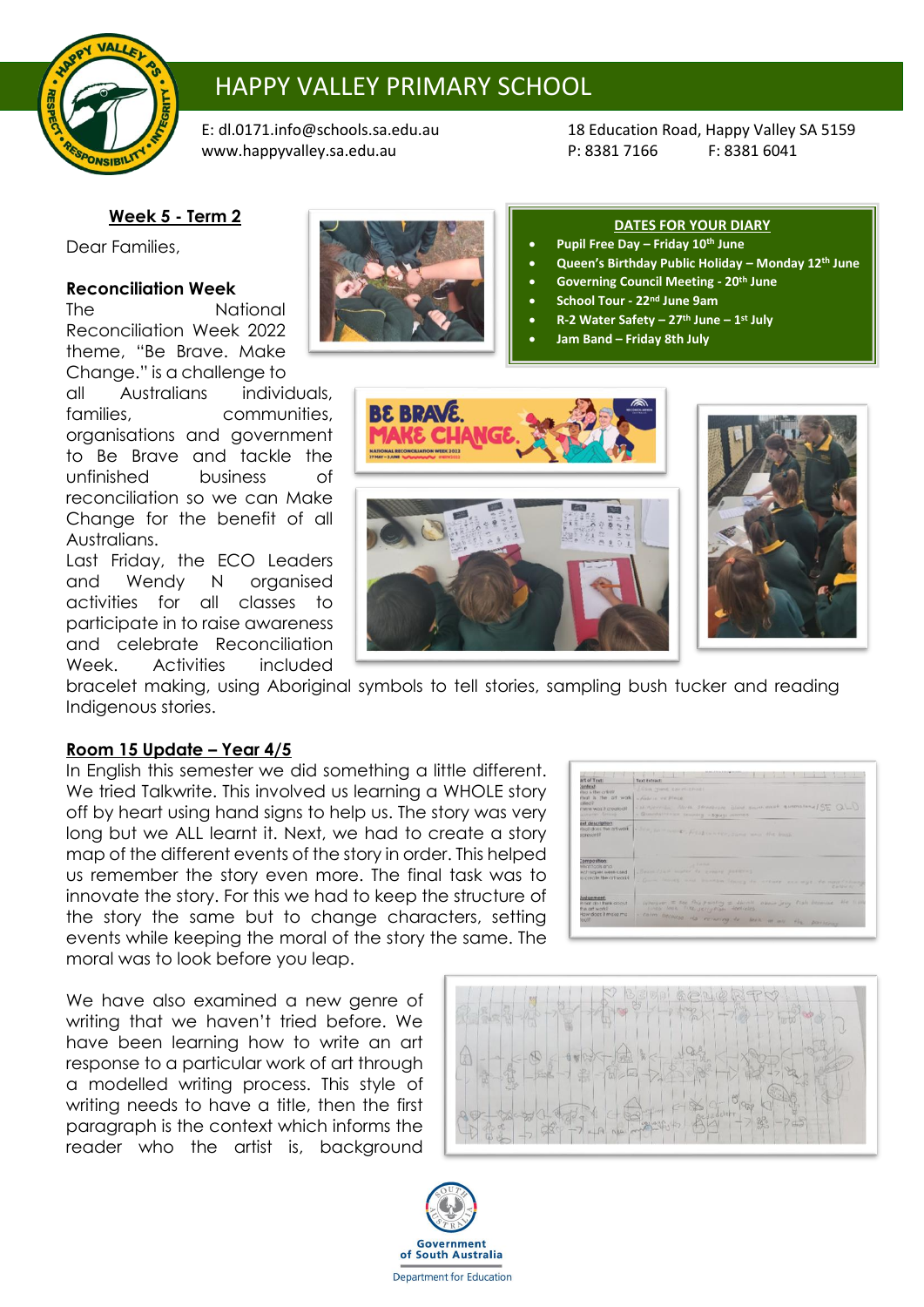

# HAPPY VALLEY PRIMARY SCHOOL

[www.happyvalley.sa.edu.au](http://www.happyvalley.sa.edu.au/) P: 8381 7166 F: 8381 6041

E[: dl.0171.info@schools.sa.edu.au](mailto:dl.0171.info@schools.sa.edu.au) 18 Education Road, Happy Valley SA 5159

## **Week 5 - Term 2**

Dear Families,

### **Reconciliation Week**

The National Reconciliation Week 2022 theme, "Be Brave. Make Change." is a challenge to

all Australians individuals, families, communities, organisations and government to Be Brave and tackle the unfinished business of reconciliation so we can Make Change for the benefit of all Australians.

Last Friday, the ECO Leaders and Wendy N organised activities for all classes to participate in to raise awareness and celebrate Reconciliation Week. Activities included



#### **DATES FOR YOUR DIARY**

- **Pupil Free Day – Friday 10th June**
- **Queen's Birthday Public Holiday – Monday 12th June**
- **Governing Council Meeting - 20th June**
- **School Tour - 22nd June 9am**
- **R-2 Water Safety – 27th June – 1 st July**
- **Jam Band – Friday 8th July**





bracelet making, using Aboriginal symbols to tell stories, sampling bush tucker and reading Indigenous stories.

#### **Room 15 Update – Year 4/5**

In English this semester we did something a little different. We tried Talkwrite. This involved us learning a WHOLE story off by heart using hand signs to help us. The story was very long but we ALL learnt it. Next, we had to create a story map of the different events of the story in order. This helped us remember the story even more. The final task was to innovate the story. For this we had to keep the structure of the story the same but to change characters, setting events while keeping the moral of the story the same. The moral was to look before you leap.

We have also examined a new genre of writing that we haven't tried before. We have been learning how to write an art response to a particular work of art through a modelled writing process. This style of writing needs to have a title, then the first paragraph is the context which informs the reader who the artist is, background